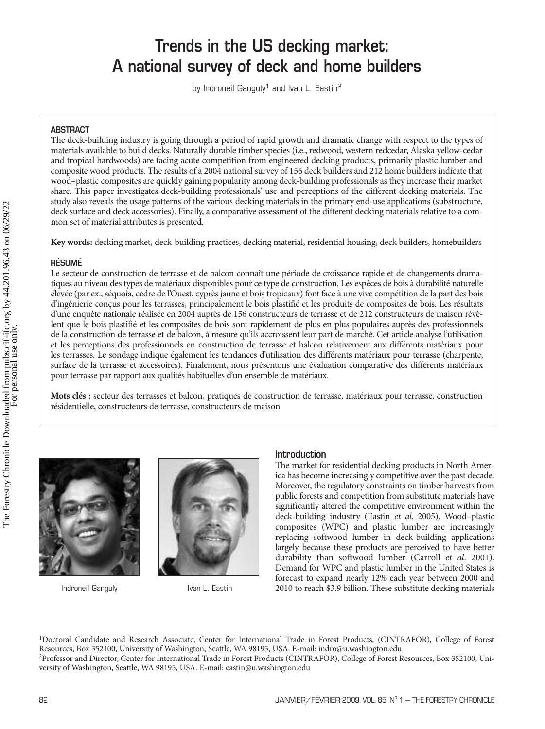# **Trends in the US decking market: A national survey of deck and home builders**

by Indroneil Ganguly<sup>1</sup> and Ivan L. Eastin<sup>2</sup>

# **ABSTRACT**

The deck-building industry is going through a period of rapid growth and dramatic change with respect to the types of materials available to build decks. Naturally durable timber species (i.e., redwood, western redcedar, Alaska yellow-cedar and tropical hardwoods) are facing acute competition from engineered decking products, primarily plastic lumber and composite wood products. The results of a 2004 national survey of 156 deck builders and 212 home builders indicate that wood–plastic composites are quickly gaining popularity among deck-building professionals as they increase their market share. This paper investigates deck-building professionals' use and perceptions of the different decking materials. The study also reveals the usage patterns of the various decking materials in the primary end-use applications (substructure, deck surface and deck accessories). Finally, a comparative assessment of the different decking materials relative to a common set of material attributes is presented.

**Key words:** decking market, deck-building practices, decking material, residential housing, deck builders, homebuilders

# **RÉSUMÉ**

Le secteur de construction de terrasse et de balcon connaît une période de croissance rapide et de changements dramatiques au niveau des types de matériaux disponibles pour ce type de construction. Les espèces de bois à durabilité naturelle élevée (par ex., séquoia, cèdre de l'Ouest, cyprès jaune et bois tropicaux) font face à une vive compétition de la part des bois d'ingénierie conçus pour les terrasses, principalement le bois plastifié et les produits de composites de bois. Les résultats d'une enquête nationale réalisée en 2004 auprès de 156 constructeurs de terrasse et de 212 constructeurs de maison révèlent que le bois plastifié et les composites de bois sont rapidement de plus en plus populaires auprès des professionnels de la construction de terrasse et de balcon, à mesure qu'ils accroissent leur part de marché. Cet article analyse l'utilisation et les perceptions des professionnels en construction de terrasse et balcon relativement aux différents matériaux pour les terrasses. Le sondage indique également les tendances d'utilisation des différents matériaux pour terrasse (charpente, surface de la terrasse et accessoires). Finalement, nous présentons une évaluation comparative des différents matériaux pour terrasse par rapport aux qualités habituelles d'un ensemble de matériaux.

**Mots clés :** secteur des terrasses et balcon, pratiques de construction de terrasse, matériaux pour terrasse, construction résidentielle, constructeurs de terrasse, constructeurs de maison



Indroneil Ganguly **Ivan L. Eastin** 



# **Introduction**

The market for residential decking products in North America has become increasingly competitive over the past decade. Moreover, the regulatory constraints on timber harvests from public forests and competition from substitute materials have significantly altered the competitive environment within the deck-building industry (Eastin et al. 2005). Wood–plastic composites (WPC) and plastic lumber are increasingly replacing softwood lumber in deck-building applications largely because these products are perceived to have better durability than softwood lumber (Carroll et al. 2001). Demand for WPC and plastic lumber in the United States is forecast to expand nearly 12% each year between 2000 and 2010 to reach \$3.9 billion. These substitute decking materials

<sup>1</sup>Doctoral Candidate and Research Associate, Center for International Trade in Forest Products, (CINTRAFOR), College of Forest Resources, Box 352100, University of Washington, Seattle, WA 98195, USA. E-mail: indro@u.washington.edu 2Professor and Director, Center for International Trade in Forest Products (CINTRAFOR), College of Forest Resources, Box 352100, University of Washington, Seattle, WA 98195, USA. E-mail: eastin@u.washington.edu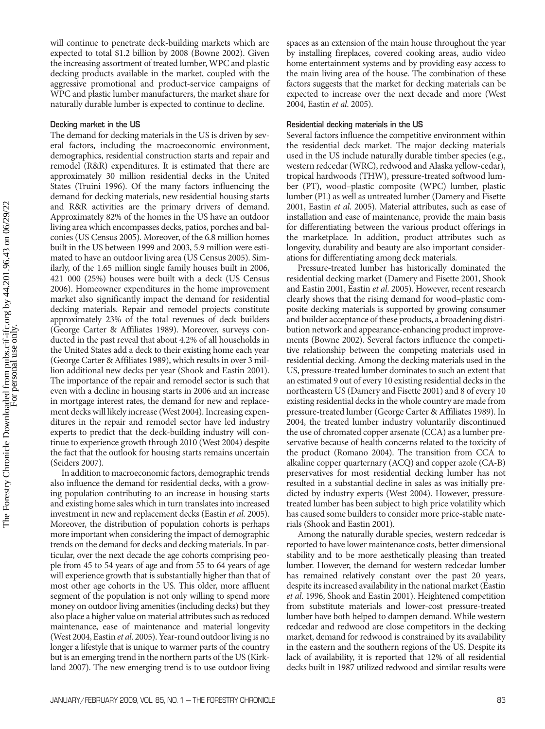will continue to penetrate deck-building markets which are expected to total \$1.2 billion by 2008 (Bowne 2002). Given the increasing assortment of treated lumber, WPC and plastic decking products available in the market, coupled with the aggressive promotional and product-service campaigns of WPC and plastic lumber manufacturers, the market share for naturally durable lumber is expected to continue to decline.

## **Decking market in the US**

The demand for decking materials in the US is driven by several factors, including the macroeconomic environment, demographics, residential construction starts and repair and remodel (R&R) expenditures. It is estimated that there are approximately 30 million residential decks in the United States (Truini 1996). Of the many factors influencing the demand for decking materials, new residential housing starts and R&R activities are the primary drivers of demand. Approximately 82% of the homes in the US have an outdoor living area which encompasses decks, patios, porches and balconies (US Census 2005). Moreover, of the 6.8 million homes built in the US between 1999 and 2003, 5.9 million were estimated to have an outdoor living area (US Census 2005). Similarly, of the 1.65 million single family houses built in 2006, 421 000 (25%) houses were built with a deck (US Census 2006). Homeowner expenditures in the home improvement market also significantly impact the demand for residential decking materials. Repair and remodel projects constitute approximately 23% of the total revenues of deck builders (George Carter & Affiliates 1989). Moreover, surveys conducted in the past reveal that about 4.2% of all households in the United States add a deck to their existing home each year (George Carter & Affiliates 1989), which results in over 3 million additional new decks per year (Shook and Eastin 2001). The importance of the repair and remodel sector is such that even with a decline in housing starts in 2006 and an increase in mortgage interest rates, the demand for new and replacement decks will likely increase (West 2004). Increasing expenditures in the repair and remodel sector have led industry experts to predict that the deck-building industry will continue to experience growth through 2010 (West 2004) despite the fact that the outlook for housing starts remains uncertain (Seiders 2007).

In addition to macroeconomic factors, demographic trends also influence the demand for residential decks, with a growing population contributing to an increase in housing starts and existing home sales which in turn translates into increased investment in new and replacement decks (Eastin *et al.* 2005). Moreover, the distribution of population cohorts is perhaps more important when considering the impact of demographic trends on the demand for decks and decking materials. In particular, over the next decade the age cohorts comprising people from 45 to 54 years of age and from 55 to 64 years of age will experience growth that is substantially higher than that of most other age cohorts in the US. This older, more affluent segment of the population is not only willing to spend more money on outdoor living amenities (including decks) but they also place a higher value on material attributes such as reduced maintenance, ease of maintenance and material longevity (West 2004, Eastin et al. 2005). Year-round outdoor living is no longer a lifestyle that is unique to warmer parts of the country but is an emerging trend in the northern parts of the US (Kirkland 2007). The new emerging trend is to use outdoor living

spaces as an extension of the main house throughout the year by installing fireplaces, covered cooking areas, audio video home entertainment systems and by providing easy access to the main living area of the house. The combination of these factors suggests that the market for decking materials can be expected to increase over the next decade and more (West 2004, Eastin et al. 2005).

## **Residential decking materials in the US**

Several factors influence the competitive environment within the residential deck market. The major decking materials used in the US include naturally durable timber species (e.g., western redcedar (WRC), redwood and Alaska yellow-cedar), tropical hardwoods (THW), pressure-treated softwood lumber (PT), wood–plastic composite (WPC) lumber, plastic lumber (PL) as well as untreated lumber (Damery and Fisette 2001, Eastin et al. 2005). Material attributes, such as ease of installation and ease of maintenance, provide the main basis for differentiating between the various product offerings in the marketplace. In addition, product attributes such as longevity, durability and beauty are also important considerations for differentiating among deck materials.

Pressure-treated lumber has historically dominated the residential decking market (Damery and Fisette 2001, Shook and Eastin 2001, Eastin et al. 2005). However, recent research clearly shows that the rising demand for wood–plastic composite decking materials is supported by growing consumer and builder acceptance of these products, a broadening distribution network and appearance-enhancing product improvements (Bowne 2002). Several factors influence the competitive relationship between the competing materials used in residential decking. Among the decking materials used in the US, pressure-treated lumber dominates to such an extent that an estimated 9 out of every 10 existing residential decks in the northeastern US (Damery and Fisette 2001) and 8 of every 10 existing residential decks in the whole country are made from pressure-treated lumber (George Carter & Affiliates 1989). In 2004, the treated lumber industry voluntarily discontinued the use of chromated copper arsenate (CCA) as a lumber preservative because of health concerns related to the toxicity of the product (Romano 2004). The transition from CCA to alkaline copper quarternary (ACQ) and copper azole (CA-B) preservatives for most residential decking lumber has not resulted in a substantial decline in sales as was initially predicted by industry experts (West 2004). However, pressuretreated lumber has been subject to high price volatility which has caused some builders to consider more price-stable materials (Shook and Eastin 2001).

Among the naturally durable species, western redcedar is reported to have lower maintenance costs, better dimensional stability and to be more aesthetically pleasing than treated lumber. However, the demand for western redcedar lumber has remained relatively constant over the past 20 years, despite its increased availability in the national market (Eastin et al. 1996, Shook and Eastin 2001). Heightened competition from substitute materials and lower-cost pressure-treated lumber have both helped to dampen demand. While western redcedar and redwood are close competitors in the decking market, demand for redwood is constrained by its availability in the eastern and the southern regions of the US. Despite its lack of availability, it is reported that 12% of all residential decks built in 1987 utilized redwood and similar results were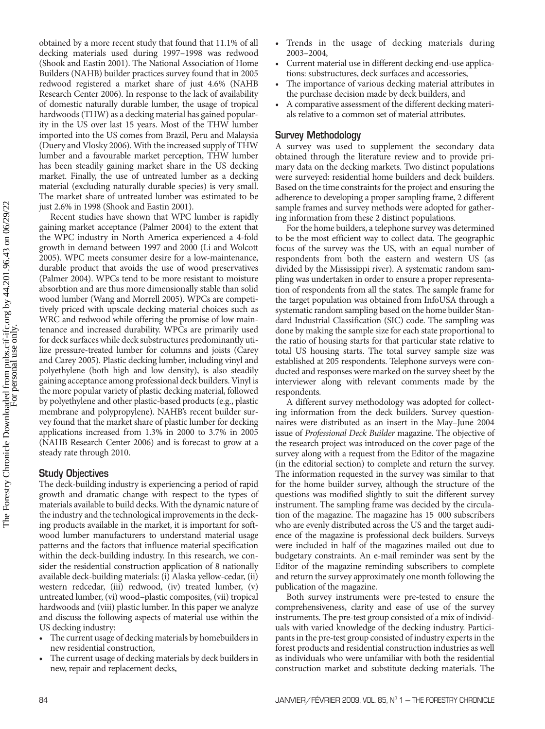obtained by a more recent study that found that 11.1% of all decking materials used during 1997–1998 was redwood (Shook and Eastin 2001). The National Association of Home Builders (NAHB) builder practices survey found that in 2005 redwood registered a market share of just 4.6% (NAHB Research Center 2006). In response to the lack of availability of domestic naturally durable lumber, the usage of tropical hardwoods (THW) as a decking material has gained popularity in the US over last 15 years. Most of the THW lumber imported into the US comes from Brazil, Peru and Malaysia (Duery and Vlosky 2006). With the increased supply of THW lumber and a favourable market perception, THW lumber has been steadily gaining market share in the US decking market. Finally, the use of untreated lumber as a decking material (excluding naturally durable species) is very small. The market share of untreated lumber was estimated to be just 2.6% in 1998 (Shook and Eastin 2001).

Recent studies have shown that WPC lumber is rapidly gaining market acceptance (Palmer 2004) to the extent that the WPC industry in North America experienced a 4-fold growth in demand between 1997 and 2000 (Li and Wolcott 2005). WPC meets consumer desire for a low-maintenance, durable product that avoids the use of wood preservatives (Palmer 2004). WPCs tend to be more resistant to moisture absorbtion and are thus more dimensionally stable than solid wood lumber (Wang and Morrell 2005). WPCs are competitively priced with upscale decking material choices such as WRC and redwood while offering the promise of low maintenance and increased durability. WPCs are primarily used for deck surfaces while deck substructures predominantly utilize pressure-treated lumber for columns and joists (Carey and Carey 2005). Plastic decking lumber, including vinyl and polyethylene (both high and low density), is also steadily gaining acceptance among professional deck builders. Vinyl is the more popular variety of plastic decking material, followed by polyethylene and other plastic-based products (e.g., plastic membrane and polypropylene). NAHB's recent builder survey found that the market share of plastic lumber for decking applications increased from 1.3% in 2000 to 3.7% in 2005 (NAHB Research Center 2006) and is forecast to grow at a steady rate through 2010.

# **Study Objectives**

The deck-building industry is experiencing a period of rapid growth and dramatic change with respect to the types of materials available to build decks. With the dynamic nature of the industry and the technological improvements in the decking products available in the market, it is important for softwood lumber manufacturers to understand material usage patterns and the factors that influence material specification within the deck-building industry. In this research, we consider the residential construction application of 8 nationally available deck-building materials: (i) Alaska yellow-cedar, (ii) western redcedar, (iii) redwood, (iv) treated lumber, (v) untreated lumber, (vi) wood–plastic composites, (vii) tropical hardwoods and (viii) plastic lumber. In this paper we analyze and discuss the following aspects of material use within the US decking industry:

- The current usage of decking materials by homebuilders in new residential construction,
- The current usage of decking materials by deck builders in new, repair and replacement decks,
- Trends in the usage of decking materials during 2003–2004,
- Current material use in different decking end-use applications: substructures, deck surfaces and accessories,
- The importance of various decking material attributes in the purchase decision made by deck builders, and
- A comparative assessment of the different decking materials relative to a common set of material attributes.

# **Survey Methodology**

A survey was used to supplement the secondary data obtained through the literature review and to provide primary data on the decking markets. Two distinct populations were surveyed: residential home builders and deck builders. Based on the time constraints for the project and ensuring the adherence to developing a proper sampling frame, 2 different sample frames and survey methods were adopted for gathering information from these 2 distinct populations.

For the home builders, a telephone survey was determined to be the most efficient way to collect data. The geographic focus of the survey was the US, with an equal number of respondents from both the eastern and western US (as divided by the Mississippi river). A systematic random sampling was undertaken in order to ensure a proper representation of respondents from all the states. The sample frame for the target population was obtained from InfoUSA through a systematic random sampling based on the home builder Standard Industrial Classification (SIC) code. The sampling was done by making the sample size for each state proportional to the ratio of housing starts for that particular state relative to total US housing starts. The total survey sample size was established at 205 respondents. Telephone surveys were conducted and responses were marked on the survey sheet by the interviewer along with relevant comments made by the respondents.

A different survey methodology was adopted for collecting information from the deck builders. Survey questionnaires were distributed as an insert in the May–June 2004 issue of Professional Deck Builder magazine. The objective of the research project was introduced on the cover page of the survey along with a request from the Editor of the magazine (in the editorial section) to complete and return the survey. The information requested in the survey was similar to that for the home builder survey, although the structure of the questions was modified slightly to suit the different survey instrument. The sampling frame was decided by the circulation of the magazine. The magazine has 15 000 subscribers who are evenly distributed across the US and the target audience of the magazine is professional deck builders. Surveys were included in half of the magazines mailed out due to budgetary constraints. An e-mail reminder was sent by the Editor of the magazine reminding subscribers to complete and return the survey approximately one month following the publication of the magazine.

Both survey instruments were pre-tested to ensure the comprehensiveness, clarity and ease of use of the survey instruments. The pre-test group consisted of a mix of individuals with varied knowledge of the decking industry. Participants in the pre-test group consisted of industry experts in the forest products and residential construction industries as well as individuals who were unfamiliar with both the residential construction market and substitute decking materials. The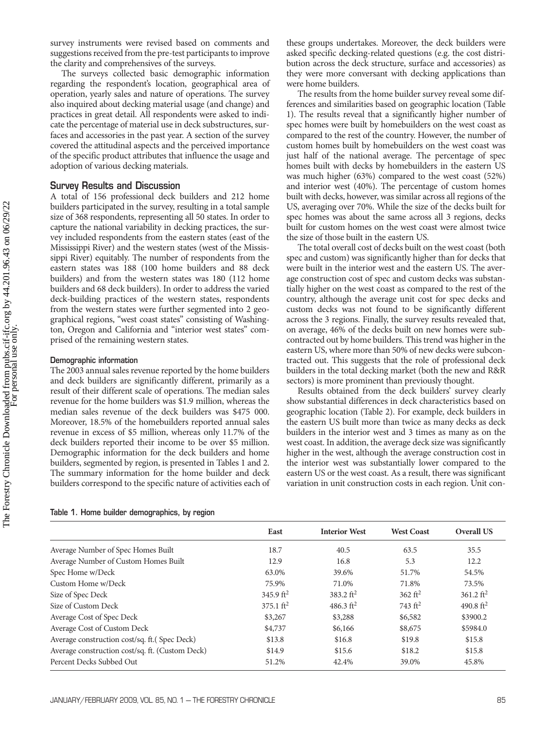survey instruments were revised based on comments and suggestions received from the pre-test participants to improve the clarity and comprehensives of the surveys.

The surveys collected basic demographic information regarding the respondent's location, geographical area of operation, yearly sales and nature of operations. The survey also inquired about decking material usage (and change) and practices in great detail. All respondents were asked to indicate the percentage of material use in deck substructures, surfaces and accessories in the past year. A section of the survey covered the attitudinal aspects and the perceived importance of the specific product attributes that influence the usage and adoption of various decking materials.

# **Survey Results and Discussion**

A total of 156 professional deck builders and 212 home builders participated in the survey, resulting in a total sample size of 368 respondents, representing all 50 states. In order to capture the national variability in decking practices, the survey included respondents from the eastern states (east of the Mississippi River) and the western states (west of the Mississippi River) equitably. The number of respondents from the eastern states was 188 (100 home builders and 88 deck builders) and from the western states was 180 (112 home builders and 68 deck builders). In order to address the varied deck-building practices of the western states, respondents from the western states were further segmented into 2 geographical regions, "west coast states" consisting of Washington, Oregon an prised of the remaining western states.

## **Demographic information**

The 2003 annual sales revenue reported by the home builders and deck builders are significantly different, primarily as a result of their different scale of operations. The median sales revenue for the home builders was \$1.9 million, whereas the median sales revenue of the deck builders was \$475 000. Moreover, 18.5% of the homebuilders reported annual sales revenue in excess of \$5 million, whereas only 11.7% of the deck builders reported their income to be over \$5 million. Demographic information for the deck builders and home builders, segmented by region, is presented in Tables 1 and 2. The summary information for the home builder and deck builders correspond to the specific nature of activities each of

| $\frac{1}{100}$ west coust states consisting of mashing | $\cdots$ |
|---------------------------------------------------------|----------|
| d California and "interior west states" com-            | on ave   |
| maining western states-                                 | contra   |

these groups undertakes. Moreover, the deck builders were asked specific decking-related questions (e.g. the cost distribution across the deck structure, surface and accessories) as they were more conversant with decking applications than were home builders.

The results from the home builder survey reveal some differences and similarities based on geographic location (Table 1). The results reveal that a significantly higher number of spec homes were built by homebuilders on the west coast as compared to the rest of the country. However, the number of custom homes built by homebuilders on the west coast was just half of the national average. The percentage of spec homes built with decks by homebuilders in the eastern US was much higher (63%) compared to the west coast (52%) and interior west (40%). The percentage of custom homes built with decks, however, was similar across all regions of the US, averaging over 70%. While the size of the decks built for spec homes was about the same across all 3 regions, decks built for custom homes on the west coast were almost twice the size of those built in the eastern US.

The total overall cost of decks built on the west coast (both spec and custom) was significantly higher than for decks that were built in the interior west and the eastern US. The average construction cost of spec and custom decks was substantially higher on the west coast as compared to the rest of the country, although the average unit cost for spec decks and custom decks was not found to be significantly different across the 3 regions. Finally, the survey results revealed that, rage, 46% of the decks built on new homes were subcted out by home builders. This trend was higher in the eastern US, where more than 50% of new decks were subcontracted out. This suggests that the role of professional deck builders in the total decking market (both the new and R&R sectors) is more prominent than previously thought.

Results obtained from the deck builders' survey clearly show substantial differences in deck characteristics based on geographic location (Table 2). For example, deck builders in the eastern US built more than twice as many decks as deck builders in the interior west and 3 times as many as on the west coast. In addition, the average deck size was significantly higher in the west, although the average construction cost in the interior west was substantially lower compared to the eastern US or the west coast. As a result, there was significant variation in unit construction costs in each region. Unit con-

|                                                 | East                  | <b>Interior West</b> | <b>West Coast</b>  | <b>Overall US</b>     |
|-------------------------------------------------|-----------------------|----------------------|--------------------|-----------------------|
| Average Number of Spec Homes Built              | 18.7                  | 40.5                 | 63.5               | 35.5                  |
| Average Number of Custom Homes Built            | 12.9                  | 16.8                 | 5.3                | 12.2                  |
| Spec Home w/Deck                                | 63.0%                 | 39.6%                | 51.7%              | 54.5%                 |
| Custom Home w/Deck                              | 75.9%                 | 71.0%                | 71.8%              | 73.5%                 |
| Size of Spec Deck                               | 345.9 ft <sup>2</sup> | 383.2 $ft2$          | $362 \text{ ft}^2$ | 361.2 ft <sup>2</sup> |
| Size of Custom Deck                             | $375.1 \text{ ft}^2$  | 486.3 $ft2$          | 743 $ft^2$         | 490.8 $ft^2$          |
| Average Cost of Spec Deck                       | \$3,267               | \$3,288              | \$6,582            | \$3900.2              |
| Average Cost of Custom Deck                     | \$4,737               | \$6,166              | \$8,675            | \$5984.0              |
| Average construction cost/sq. ft. (Spec Deck)   | \$13.8                | \$16.8               | \$19.8             | \$15.8                |
| Average construction cost/sq. ft. (Custom Deck) | \$14.9                | \$15.6               | \$18.2             | \$15.8                |
| Percent Decks Subbed Out                        | 51.2%                 | 42.4%                | 39.0%              | 45.8%                 |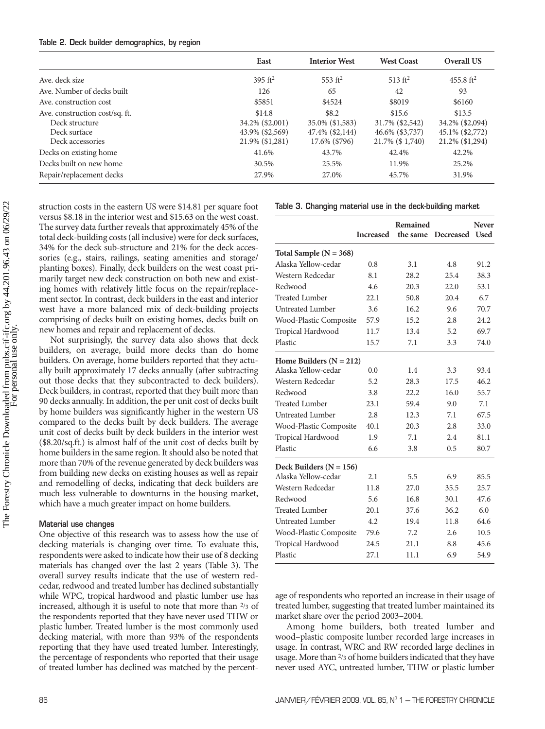#### **Table 2. Deck builder demographics, by region**

|                                                                                      | East                                                            | <b>Interior West</b>                                         | <b>West Coast</b>                                               | Overall US                                                      |  |
|--------------------------------------------------------------------------------------|-----------------------------------------------------------------|--------------------------------------------------------------|-----------------------------------------------------------------|-----------------------------------------------------------------|--|
| Ave. deck size                                                                       | 395 $ft^2$                                                      | 553 $ft^2$                                                   | $513 \text{ ft}^2$                                              | 455.8 ft <sup>2</sup>                                           |  |
| Ave. Number of decks built                                                           | 126                                                             | 65                                                           | 42                                                              | 93                                                              |  |
| Ave. construction cost                                                               | \$5851                                                          | \$4524                                                       | \$8019                                                          | \$6160                                                          |  |
| Ave. construction cost/sq. ft.<br>Deck structure<br>Deck surface<br>Deck accessories | \$14.8<br>34.2% (\$2,001)<br>43.9% (\$2,569)<br>21.9% (\$1,281) | \$8.2<br>35.0% (\$1,583)<br>47.4% (\$2,144)<br>17.6% (\$796) | \$15.6<br>31.7% (\$2,542)<br>46.6% (\$3,737)<br>21.7% (\$1,740) | \$13.5<br>34.2% (\$2,094)<br>45.1% (\$2,772)<br>21.2% (\$1,294) |  |
| Decks on existing home                                                               | 41.6%                                                           | 43.7%                                                        | 42.4%                                                           | 42.2%                                                           |  |
| Decks built on new home                                                              | 30.5%                                                           | 25.5%                                                        | 11.9%                                                           | 25.2%                                                           |  |
| Repair/replacement decks                                                             | 27.9%                                                           | 27.0%                                                        | 45.7%                                                           | 31.9%                                                           |  |

struction costs in the eastern US were \$14.81 per square foot versus \$8.18 in the interior west and \$15.63 on the west coast. The survey data further reveals that approximately 45% of the total deck-building costs (all inclusive) were for deck surfaces, 34% for the deck sub-structure and 21% for the deck accessories (e.g., stairs, railings, seating amenities and storage/ planting boxes). Finally, deck builders on the west coast primarily target new deck construction on both new and existing homes with relatively little focus on the repair/replacement sector. In contrast, deck builders in the east and interior west have a more balanced mix of deck-building projects comprising of decks built on existing homes, decks built on new homes and repair and replacement of decks.

Not surprisingly, the survey data also shows that deck builders, on average, build more decks than do home builders. On average, home builders reported that they actually built approximately 17 decks annually (after subtracting out those decks that they subcontracted to deck builders). Deck builders, in contrast, reported that they built more than 90 decks annually. In addition, the per unit cost of decks built by home builders was significantly higher in the western US compared to the decks built by deck builders. The average unit cost of decks built by deck builders in the interior west (\$8.20/sq.ft.) is almost half of the unit cost of decks built by home builders in the same region. It should also be noted that more than 70% of the revenue generated by deck builders was from building new decks on existing houses as well as repair and remodelling of decks, indicating that deck builders are much less vulnerable to downturns in the housing market, which have a much greater impact on home builders.

#### **Material use changes**

One objective of this research was to assess how the use of decking materials is changing over time. To evaluate this, respondents were asked to indicate how their use of 8 decking materials has changed over the last 2 years (Table 3). The overall survey results indicate that the use of western redcedar, redwood and treated lumber has declined substantially while WPC, tropical hardwood and plastic lumber use has increased, although it is useful to note that more than 2/3 of the respondents reported that they have never used THW or plastic lumber. Treated lumber is the most commonly used decking material, with more than 93% of the respondents reporting that they have used treated lumber. Interestingly, the percentage of respondents who reported that their usage of treated lumber has declined was matched by the percent-

#### **Table 3. Changing material use in the deck-building market**

|                             | <b>Increased</b> | Remained<br>the same | <b>Decreased</b> | <b>Never</b><br><b>Used</b> |
|-----------------------------|------------------|----------------------|------------------|-----------------------------|
| Total Sample ( $N = 368$ )  |                  |                      |                  |                             |
| Alaska Yellow-cedar         | 0.8              | 3.1                  | 4.8              | 91.2                        |
| Western Redcedar            | 8.1              | 28.2                 | 25.4             | 38.3                        |
| Redwood                     | 4.6              | 20.3                 | 22.0             | 53.1                        |
| <b>Treated Lumber</b>       | 22.1             | 50.8                 | 20.4             | 6.7                         |
| Untreated Lumber            | 3.6              | 16.2                 | 9.6              | 70.7                        |
| Wood-Plastic Composite      | 57.9             | 15.2                 | 2.8              | 24.2                        |
| Tropical Hardwood           | 11.7             | 13.4                 | 5.2              | 69.7                        |
| Plastic                     | 15.7             | 7.1                  | 3.3              | 74.0                        |
| Home Builders ( $N = 212$ ) |                  |                      |                  |                             |
| Alaska Yellow-cedar         | 0.0              | 1.4                  | 3.3              | 93.4                        |
| Western Redcedar            | 5.2              | 28.3                 | 17.5             | 46.2                        |
| Redwood                     | 3.8              | 22.2                 | 16.0             | 55.7                        |
| <b>Treated Lumber</b>       | 23.1             | 59.4                 | 9.0              | 7.1                         |
| Untreated Lumber            | 2.8              | 12.3                 | 7.1              | 67.5                        |
| Wood-Plastic Composite      | 40.1             | 20.3                 | 2.8              | 33.0                        |
| Tropical Hardwood           | 1.9              | 7.1                  | 2.4              | 81.1                        |
| Plastic                     | 6.6              | 3.8                  | 0.5              | 80.7                        |
| Deck Builders ( $N = 156$ ) |                  |                      |                  |                             |
| Alaska Yellow-cedar         | 2.1              | 5.5                  | 6.9              | 85.5                        |
| Western Redcedar            | 11.8             | 27.0                 | 35.5             | 25.7                        |
| Redwood                     | 5.6              | 16.8                 | 30.1             | 47.6                        |
| <b>Treated Lumber</b>       | 20.1             | 37.6                 | 36.2             | 6.0                         |
| Untreated Lumber            | 4.2              | 19.4                 | 11.8             | 64.6                        |
| Wood-Plastic Composite      | 79.6             | 7.2                  | 2.6              | 10.5                        |
| Tropical Hardwood           | 24.5             | 21.1                 | 8.8              | 45.6                        |
| Plastic                     | 27.1             | 11.1                 | 6.9              | 54.9                        |

age of respondents who reported an increase in their usage of treated lumber, suggesting that treated lumber maintained its market share over the period 2003–2004.

Among home builders, both treated lumber and wood–plastic composite lumber recorded large increases in usage. In contrast, WRC and RW recorded large declines in usage. More than 2/3 of home builders indicated that they have never used AYC, untreated lumber, THW or plastic lumber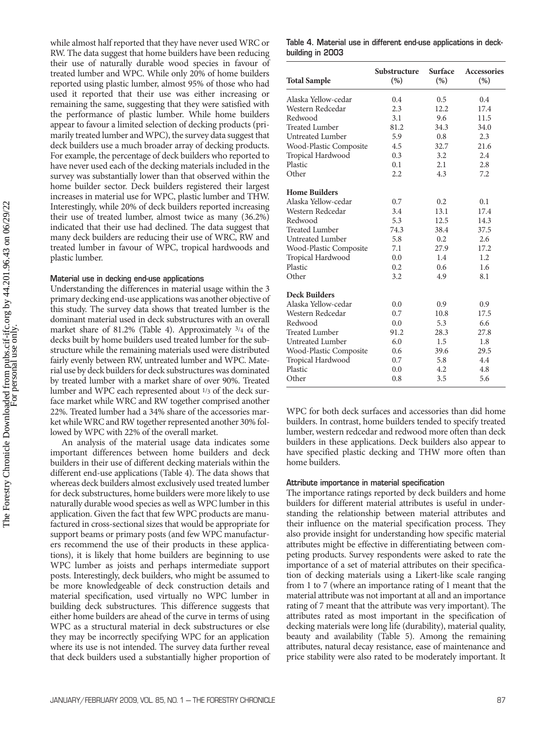while almost half reported that they have never used WRC or RW. The data suggest that home builders have been reducing their use of naturally durable wood species in favour of treated lumber and WPC. While only 20% of home builders reported using plastic lumber, almost 95% of those who had used it reported that their use was either increasing or remaining the same, suggesting that they were satisfied with the performance of plastic lumber. While home builders appear to favour a limited selection of decking products (primarily treated lumber and WPC), the survey data suggest that deck builders use a much broader array of decking products. For example, the percentage of deck builders who reported to have never used each of the decking materials included in the survey was substantially lower than that observed within the home builder sector. Deck builders registered their largest increases in material use for WPC, plastic lumber and THW. Interestingly, while 20% of deck builders reported increasing their use of treated lumber, almost twice as many (36.2%) indicated that their use had declined. The data suggest that many deck builders are reducing their use of WRC, RW and treated lumber in favour of WPC, tropical hardwoods and plastic lumber.

## **Material use in decking end-use applications**

Understanding the differences in material usage within the 3 primary decking end-use applications was another objective of this study. The survey data shows that treated lumber is the dominant material used in deck substructures with an overall market share of 81.2% (Table 4). Approximately <sup>3</sup>/4 of the decks built by home builders used treated lumber for the substructure while the remaining materials used were distributed fairly evenly between RW, untreated lumber and WPC. Material use by deck builders for deck substructures was dominated by treated lumber with a market share of over 90%. Treated lumber and WPC each represented about 1/3 of the deck surface market while WRC and RW together comprised another 22%. Treated lumber had a 34% share of the accessories market while WRC and RW together represented another 30% followed by WPC with 22% of the overall market.

An analysis of the material usage data indicates some important differences between home builders and deck builders in their use of different decking materials within the different end-use applications (Table 4). The data shows that whereas deck builders almost exclusively used treated lumber for deck substructures, home builders were more likely to use naturally durable wood species as well as WPC lumber in this application. Given the fact that few WPC products are manufactured in cross-sectional sizes that would be appropriate for support beams or primary posts (and few WPC manufacturers recommend the use of their products in these applications), it is likely that home builders are beginning to use WPC lumber as joists and perhaps intermediate support posts. Interestingly, deck builders, who might be assumed to be more knowledgeable of deck construction details and material specification, used virtually no WPC lumber in building deck substructures. This difference suggests that either home builders are ahead of the curve in terms of using WPC as a structural material in deck substructures or else they may be incorrectly specifying WPC for an application where its use is not intended. The survey data further reveal that deck builders used a substantially higher proportion of

**Table 4. Material use in different end-use applications in deckbuilding in 2003**

| <b>Total Sample</b>     | Substructure<br>(%) | Surface<br>(%) | <b>Accessories</b><br>(%) |
|-------------------------|---------------------|----------------|---------------------------|
| Alaska Yellow-cedar     | $0.4^{\circ}$       | 0.5            | 0.4                       |
| Western Redcedar        | 2.3                 | 12.2           | 17.4                      |
| Redwood                 | 3.1                 | 9.6            | 11.5                      |
| Treated Lumber          | 81.2                | 34.3           | 34.0                      |
| Untreated Lumber        | 5.9                 | 0.8            | 2.3                       |
| Wood-Plastic Composite  | 4.5                 | 32.7           | 21.6                      |
| Tropical Hardwood       | 0.3                 | 3.2            | 2.4                       |
| Plastic                 | 0.1                 | 2.1            | 2.8                       |
| Other                   | 2.2                 | 4.3            | 7.2                       |
| <b>Home Builders</b>    |                     |                |                           |
| Alaska Yellow-cedar     | 0.7                 | 0.2            | 0.1                       |
| Western Redcedar        | 3.4                 | 13.1           | 17.4                      |
| Redwood                 | 5.3                 | 12.5           | 14.3                      |
| Treated Lumber          | 74.3                | 38.4           | 37.5                      |
| <b>Untreated Lumber</b> | 5.8                 | 0.2            | 2.6                       |
| Wood-Plastic Composite  | 7.1                 | 27.9           | 17.2                      |
| Tropical Hardwood       | 0.0                 | 1.4            | 1.2                       |
| Plastic                 | 0.2                 | 0.6            | 1.6                       |
| Other                   | 3.2                 | 4.9            | 8.1                       |
| <b>Deck Builders</b>    |                     |                |                           |
| Alaska Yellow-cedar     | 0.0                 | 0.9            | 0.9                       |
| Western Redcedar        | 0.7                 | 10.8           | 17.5                      |
| Redwood                 | 0.0                 | 5.3            | 6.6                       |
| <b>Treated Lumber</b>   | 91.2                | 28.3           | 27.8                      |
| <b>Untreated Lumber</b> | 6.0                 | 1.5            | 1.8                       |
| Wood-Plastic Composite  | 0.6                 | 39.6           | 29.5                      |
| Tropical Hardwood       | 0.7                 | 5.8            | 4.4                       |
| Plastic                 | 0.0                 | 4.2            | 4.8                       |
| Other                   | 0.8                 | 3.5            | 5.6                       |

WPC for both deck surfaces and accessories than did home builders. In contrast, home builders tended to specify treated lumber, western redcedar and redwood more often than deck builders in these applications. Deck builders also appear to have specified plastic decking and THW more often than home builders.

#### **Attribute importance in material specification**

The importance ratings reported by deck builders and home builders for different material attributes is useful in understanding the relationship between material attributes and their influence on the material specification process. They also provide insight for understanding how specific material attributes might be effective in differentiating between competing products. Survey respondents were asked to rate the importance of a set of material attributes on their specification of decking materials using a Likert-like scale ranging from 1 to 7 (where an importance rating of 1 meant that the material attribute was not important at all and an importance rating of 7 meant that the attribute was very important). The attributes rated as most important in the specification of decking materials were long life (durability), material quality, beauty and availability (Table 5). Among the remaining attributes, natural decay resistance, ease of maintenance and price stability were also rated to be moderately important. It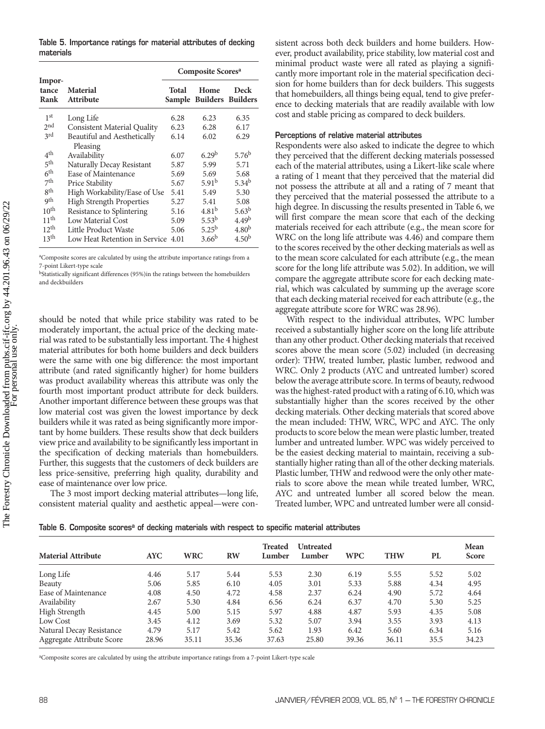**Table 5. Importance ratings for material attributes of decking materials**

|                                |                                     | Composite Scores <sup>a</sup> |                                  |                   |  |  |
|--------------------------------|-------------------------------------|-------------------------------|----------------------------------|-------------------|--|--|
| Impor-<br>tance<br><b>Rank</b> | <b>Material</b><br><b>Attribute</b> | Total                         | Home<br>Sample Builders Builders | Deck              |  |  |
| 1 <sup>st</sup>                | Long Life                           | 6.28                          | 6.23                             | 6.35              |  |  |
| 2 <sub>nd</sub>                | <b>Consistent Material Quality</b>  | 6.23                          | 6.28                             | 6.17              |  |  |
| 3rd                            | Beautiful and Aesthetically         | 6.14                          | 6.02                             | 6.29              |  |  |
|                                | Pleasing                            |                               |                                  |                   |  |  |
| 4 <sup>th</sup>                | Availability                        | 6.07                          | 6.29 <sup>b</sup>                | 5.76 <sup>b</sup> |  |  |
| 5th                            | Naturally Decay Resistant           | 5.87                          | 5.99                             | 5.71              |  |  |
| 6 <sup>th</sup>                | Ease of Maintenance                 | 5.69                          | 5.69                             | 5.68              |  |  |
| 7 <sup>th</sup>                | Price Stability                     | 5.67                          | 5.91 <sup>b</sup>                | 5.34 <sup>b</sup> |  |  |
| gth                            | High Workability/Ease of Use        | 5.41                          | 5.49                             | 5.30              |  |  |
| qth                            | <b>High Strength Properties</b>     | 5.27                          | 5.41                             | 5.08              |  |  |
| 10 <sup>th</sup>               | Resistance to Splintering           | 5.16                          | 4.81 <sup>b</sup>                | 5.63 <sup>b</sup> |  |  |
| 11 <sup>th</sup>               | Low Material Cost                   | 5.09                          | 5.53 <sup>b</sup>                | 4.49 <sup>b</sup> |  |  |
| 12 <sup>th</sup>               | Little Product Waste                | 5.06                          | $5.25^{b}$                       | 4.80 <sup>b</sup> |  |  |
| 13 <sup>th</sup>               | Low Heat Retention in Service       | 4.01                          | $3.66^{b}$                       | 4.50 <sup>b</sup> |  |  |

<sup>a</sup>Composite scores are calculated by using the attribute importance ratings from a 7-point Likert-type scale

bStatistically significant differences (95%)in the ratings between the homebuilders and deckbuilders

should be noted that while price stability was rated to be moderately important, the actual price of the decking material was rated to be substantially less important. The 4 highest material attributes for both home builders and deck builders were the same with one big difference: the most important attribute (and rated significantly higher) for home builders was product availability whereas this attribute was only the fourth most important product attribute for deck builders. Another important difference between these groups was that low material cost was given the lowest importance by deck builders while it was rated as being significantly more important by home builders. These results show that deck builders view price and availability to be significantly less important in the specification of decking materials than homebuilders. Further, this suggests that the customers of deck builders are less price-sensitive, preferring high quality, durability and ease of maintenance over low price.

The 3 most import decking material attributes—long life, consistent material quality and aesthetic appeal—were consistent across both deck builders and home builders. However, product availability, price stability, low material cost and minimal product waste were all rated as playing a significantly more important role in the material specification decision for home builders than for deck builders. This suggests that homebuilders, all things being equal, tend to give preference to decking materials that are readily available with low cost and stable pricing as compared to deck builders.

#### **Perceptions of relative material attributes**

Respondents were also asked to indicate the degree to which they perceived that the different decking materials possessed each of the material attributes, using a Likert-like scale where a rating of 1 meant that they perceived that the material did not possess the attribute at all and a rating of 7 meant that they perceived that the material possessed the attribute to a high degree. In discussing the results presented in Table 6, we will first compare the mean score that each of the decking materials received for each attribute (e.g., the mean score for WRC on the long life attribute was 4.46) and compare them to the scores received by the other decking materials as well as to the mean score calculated for each attribute (e.g., the mean score for the long life attribute was 5.02). In addition, we will compare the aggregate attribute score for each decking material, which was calculated by summing up the average score that each decking material received for each attribute (e.g., the aggregate attribute score for WRC was 28.96).

With respect to the individual attributes, WPC lumber received a substantially higher score on the long life attribute than any other product. Other decking materials that received scores above the mean score (5.02) included (in decreasing order): THW, treated lumber, plastic lumber, redwood and WRC. Only 2 products (AYC and untreated lumber) scored below the average attribute score. In terms of beauty, redwood wasthe highest-rated product with a rating of 6.10, which was substantially higher than the scores received by the other decking materials. Other decking materials that scored above the mean included: THW, WRC, WPC and AYC. The only products to score below the mean were plastic lumber, treated lumber and untreated lumber. WPC was widely perceived to be the easiest decking material to maintain, receiving a substantially higher rating than all of the other decking materials. Plastic lumber, THW and redwood were the only other materials to score above the mean while treated lumber, WRC, AYC and untreated lumber all scored below the mean. Treated lumber, WPC and untreated lumber were all consid-

| <b>Material Attribute</b> | <b>AYC</b> | <b>WRC</b> | <b>RW</b> | <b>Treated</b><br>Lumber | <b>Untreated</b><br>Lumber | <b>WPC</b> | <b>THW</b> | PL   | Mean<br><b>Score</b> |
|---------------------------|------------|------------|-----------|--------------------------|----------------------------|------------|------------|------|----------------------|
|                           |            |            |           |                          |                            |            |            |      |                      |
| Long Life                 | 4.46       | 5.17       | 5.44      | 5.53                     | 2.30                       | 6.19       | 5.55       | 5.52 | 5.02                 |
| Beauty                    | 5.06       | 5.85       | 6.10      | 4.05                     | 3.01                       | 5.33       | 5.88       | 4.34 | 4.95                 |
| Ease of Maintenance       | 4.08       | 4.50       | 4.72      | 4.58                     | 2.37                       | 6.24       | 4.90       | 5.72 | 4.64                 |
| Availability              | 2.67       | 5.30       | 4.84      | 6.56                     | 6.24                       | 6.37       | 4.70       | 5.30 | 5.25                 |
| High Strength             | 4.45       | 5.00       | 5.15      | 5.97                     | 4.88                       | 4.87       | 5.93       | 4.35 | 5.08                 |
| Low Cost                  | 3.45       | 4.12       | 3.69      | 5.32                     | 5.07                       | 3.94       | 3.55       | 3.93 | 4.13                 |
| Natural Decay Resistance  | 4.79       | 5.17       | 5.42      | 5.62                     | 1.93                       | 6.42       | 5.60       | 6.34 | 5.16                 |
| Aggregate Attribute Score | 28.96      | 35.11      | 35.36     | 37.63                    | 25.80                      | 39.36      | 36.11      | 35.5 | 34.23                |

Table 6. Composite scores<sup>a</sup> of decking materials with respect to specific material attributes

a Composite scores are calculated by using the attribute importance ratings from a 7-point Likert-type scale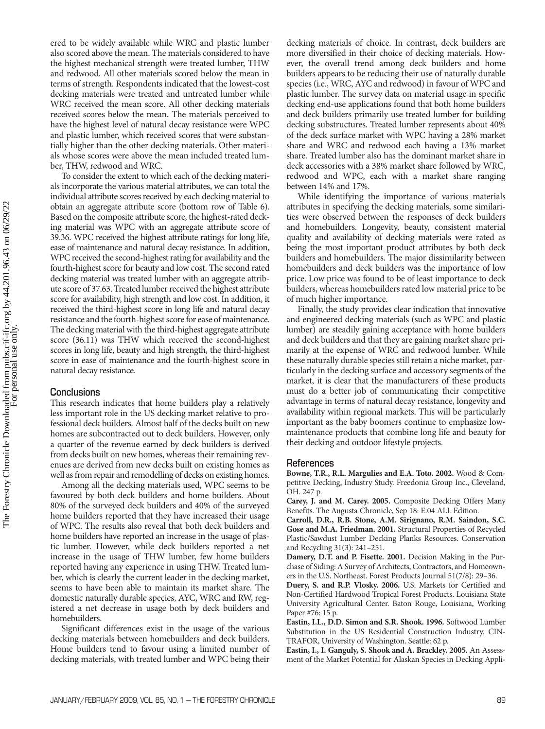ered to be widely available while WRC and plastic lumber also scored above the mean. The materials considered to have the highest mechanical strength were treated lumber, THW and redwood. All other materials scored below the mean in terms of strength. Respondents indicated that the lowest-cost decking materials were treated and untreated lumber while WRC received the mean score. All other decking materials received scores below the mean. The materials perceived to have the highest level of natural decay resistance were WPC and plastic lumber, which received scores that were substantially higher than the other decking materials. Other materials whose scores were above the mean included treated lumber, THW, redwood and WRC.

To consider the extent to which each of the decking materials incorporate the various material attributes, we can total the individual attribute scores received by each decking material to obtain an aggregate attribute score (bottom row of Table 6). Based on the composite attribute score, the highest-rated decking material was WPC with an aggregate attribute score of 39.36. WPC received the highest attribute ratings for long life, ease of maintenance and natural decay resistance. In addition, WPC received the second-highest rating for availability and the fourth-highest score for beauty and low cost. The second rated decking material was treated lumber with an aggregate attribute score of 37.63. Treated lumber received the highest attribute score for availability, high strength and low cost. In addition, it received the third-highest score in long life and natural decay resistance and the fourth-highest score for ease of maintenance. The decking material with the third-highest aggregate attribute score (36.11) was THW which received the second-highest scores in long life, beauty and high strength, the third-highest score in ease of maintenance and the fourth-highest score in natural decay resistance.

## **Conclusions**

This research indicates that home builders play a relatively less important role in the US decking market relative to professional deck builders. Almost half of the decks built on new homes are subcontracted out to deck builders. However, only a quarter of the revenue earned by deck builders is derived from decks built on new homes, whereas their remaining revenues are derived from new decks built on existing homes as well as from repair and remodelling of decks on existing homes.

Among all the decking materials used, WPC seems to be favoured by both deck builders and home builders. About 80% of the surveyed deck builders and 40% of the surveyed home builders reported that they have increased their usage of WPC. The results also reveal that both deck builders and home builders have reported an increase in the usage of plastic lumber. However, while deck builders reported a net increase in the usage of THW lumber, few home builders reported having any experience in using THW. Treated lumber, which is clearly the current leader in the decking market, seems to have been able to maintain its market share. The domestic naturally durable species, AYC, WRC and RW, registered a net decrease in usage both by deck builders and homebuilders.

Significant differences exist in the usage of the various decking materials between homebuilders and deck builders. Home builders tend to favour using a limited number of decking materials, with treated lumber and WPC being their

decking materials of choice. In contrast, deck builders are more diversified in their choice of decking materials. However, the overall trend among deck builders and home builders appears to be reducing their use of naturally durable species (i.e., WRC, AYC and redwood) in favour of WPC and plastic lumber. The survey data on material usage in specific decking end-use applications found that both home builders and deck builders primarily use treated lumber for building decking substructures. Treated lumber represents about 40% of the deck surface market with WPC having a 28% market share and WRC and redwood each having a 13% market share. Treated lumber also has the dominant market share in deck accessories with a 38% market share followed by WRC, redwood and WPC, each with a market share ranging between 14% and 17%.

While identifying the importance of various materials attributes in specifying the decking materials, some similarities were observed between the responses of deck builders and homebuilders. Longevity, beauty, consistent material quality and availability of decking materials were rated as being the most important product attributes by both deck builders and homebuilders. The major dissimilarity between homebuilders and deck builders was the importance of low price. Low price was found to be of least importance to deck builders, whereas homebuilders rated low material price to be of much higher importance.

Finally, the study provides clear indication that innovative and engineered decking materials (such as WPC and plastic lumber) are steadily gaining acceptance with home builders and deck builders and that they are gaining market share primarily at the expense of WRC and redwood lumber. While these naturally durable species still retain a niche market, particularly in the decking surface and accessory segments of the market, it is clear that the manufacturers of these products must do a better job of communicating their competitive advantage in terms of natural decay resistance, longevity and availability within regional markets. This will be particularly important as the baby boomers continue to emphasize lowmaintenance products that combine long life and beauty for their decking and outdoor lifestyle projects.

#### **References**

**Bowne, T.R., R.L. Margulies and E.A. Toto. 2002.** Wood & Competitive Decking, Industry Study. Freedonia Group Inc., Cleveland, OH. 247 p.

**Carey, J. and M. Carey. 2005.** Composite Decking Offers Many Benefits. The Augusta Chronicle, Sep 18: E.04 ALL Edition.

**Carroll, D.R., R.B. Stone, A.M. Sirignano, R.M. Saindon, S.C. Gose and M.A. Friedman. 2001.** Structural Properties of Recycled Plastic/Sawdust Lumber Decking Planks Resources. Conservation and Recycling 31(3): 241–251.

**Damery, D.T. and P. Fisette. 2001.** Decision Making in the Purchase of Siding: A Survey of Architects, Contractors, and Homeowners in the U.S. Northeast. Forest Products Journal 51(7/8): 29–36.

**Duery, S. and R.P. Vlosky. 2006.** U.S. Markets for Certified and Non-Certified Hardwood Tropical Forest Products. Louisiana State University Agricultural Center. Baton Rouge, Louisiana, Working Paper #76: 15 p.

**Eastin, I.L., D.D. Simon and S.R. Shook. 1996.** Softwood Lumber Substitution in the US Residential Construction Industry. CIN-TRAFOR, University of Washington. Seattle: 62 p.

**Eastin, I., I. Ganguly, S. Shook and A. Brackley. 2005.** An Assessment of the Market Potential for Alaskan Species in Decking Appli